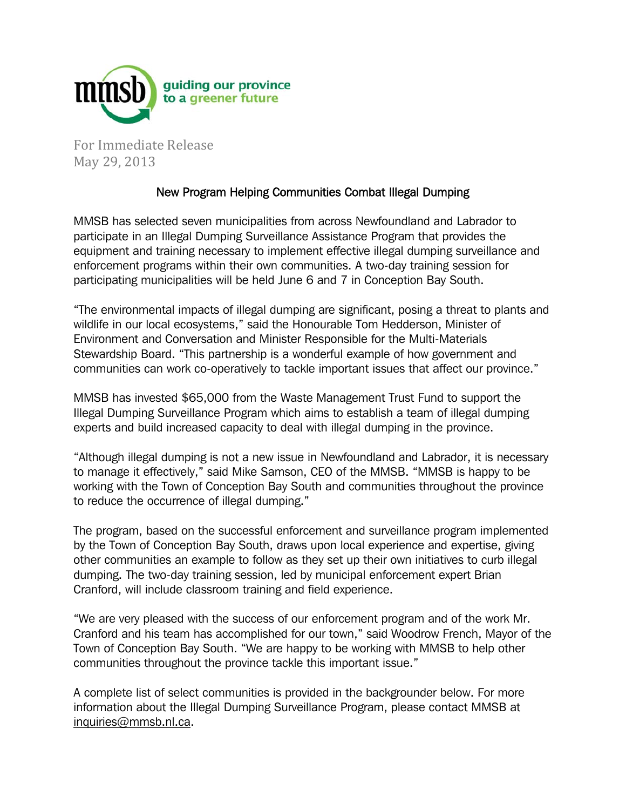

For Immediate Release May 29, 2013

## New Program Helping Communities Combat Illegal Dumping

MMSB has selected seven municipalities from across Newfoundland and Labrador to participate in an Illegal Dumping Surveillance Assistance Program that provides the equipment and training necessary to implement effective illegal dumping surveillance and enforcement programs within their own communities. A two-day training session for participating municipalities will be held June 6 and 7 in Conception Bay South.

"The environmental impacts of illegal dumping are significant, posing a threat to plants and wildlife in our local ecosystems," said the Honourable Tom Hedderson, Minister of Environment and Conversation and Minister Responsible for the Multi-Materials Stewardship Board. "This partnership is a wonderful example of how government and communities can work co-operatively to tackle important issues that affect our province."

MMSB has invested \$65,000 from the Waste Management Trust Fund to support the Illegal Dumping Surveillance Program which aims to establish a team of illegal dumping experts and build increased capacity to deal with illegal dumping in the province.

"Although illegal dumping is not a new issue in Newfoundland and Labrador, it is necessary to manage it effectively," said Mike Samson, CEO of the MMSB. "MMSB is happy to be working with the Town of Conception Bay South and communities throughout the province to reduce the occurrence of illegal dumping."

The program, based on the successful enforcement and surveillance program implemented by the Town of Conception Bay South, draws upon local experience and expertise, giving other communities an example to follow as they set up their own initiatives to curb illegal dumping. The two-day training session, led by municipal enforcement expert Brian Cranford, will include classroom training and field experience.

"We are very pleased with the success of our enforcement program and of the work Mr. Cranford and his team has accomplished for our town," said Woodrow French, Mayor of the Town of Conception Bay South. "We are happy to be working with MMSB to help other communities throughout the province tackle this important issue."

A complete list of select communities is provided in the backgrounder below. For more information about the Illegal Dumping Surveillance Program, please contact MMSB at inquiries@mmsb.nl.ca.